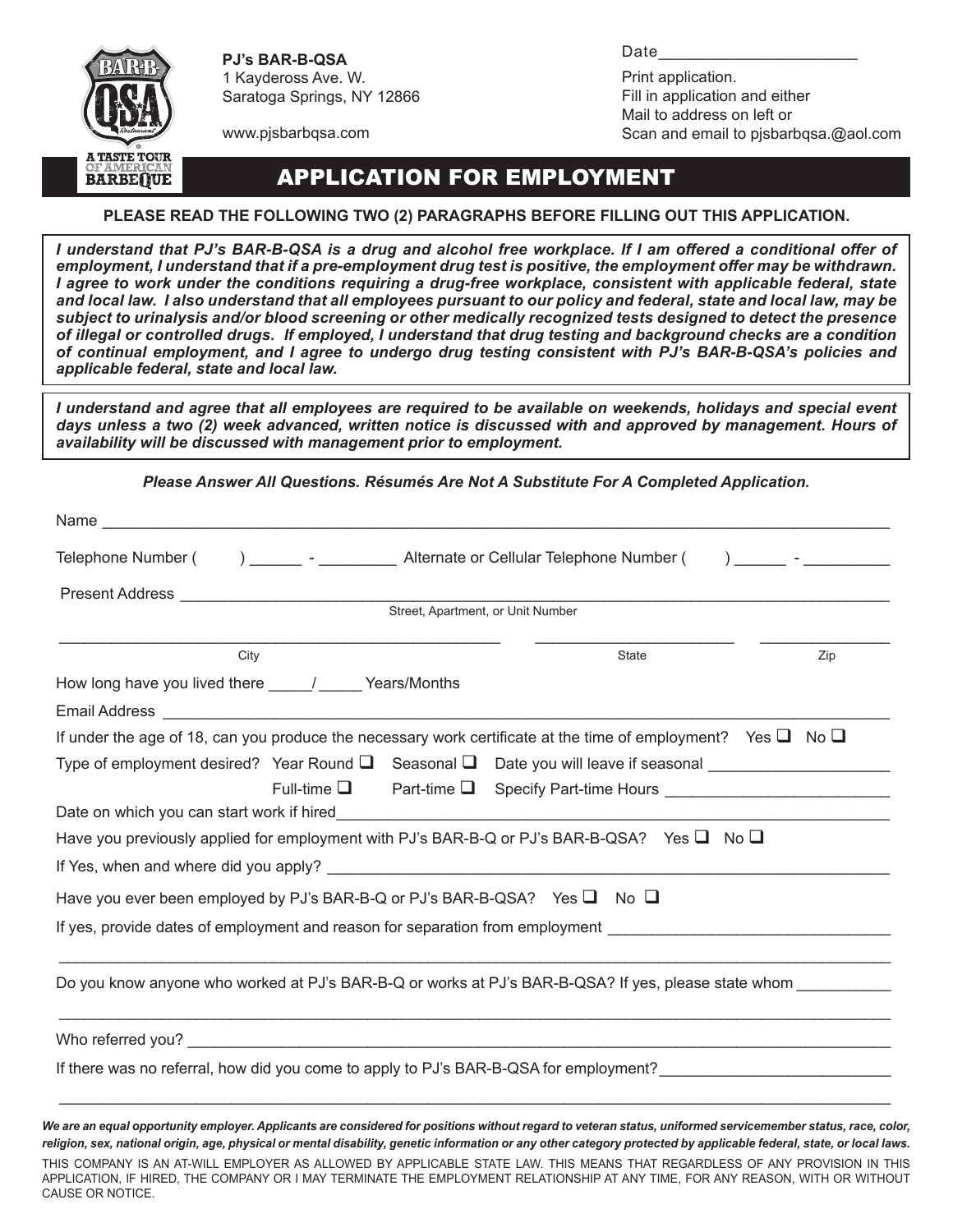

**PJ's BAR-B-QSA** 1 Kaydeross Ave. W. Saratoga Springs, NY 12866

Print application. Fill in application and either Mail to address on left or Scan and email to pjsbarbqsa.@aol.com

Date\_\_\_\_\_\_\_\_\_\_\_\_\_\_\_\_\_\_\_\_\_\_\_

www.pjsbarbqsa.com

## Application for Employment

#### **Please read the following two (2) paragraphs BEFORE filling out this application.**

*I understand that PJ's BAR-B-QSA is a drug and alcohol free workplace. If I am offered a conditional offer of*  employment, I understand that if a pre-employment drug test is positive, the employment offer may be withdrawn. *I agree to work under the conditions requiring a drug-free workplace, consistent with applicable federal, state and local law. I also understand that all employees pursuant to our policy and federal, state and local law, may be subject to urinalysis and/or blood screening or other medically recognized tests designed to detect the presence of illegal or controlled drugs. If employed, I understand that drug testing and background checks are a condition of continual employment, and I agree to undergo drug testing consistent with PJ's BAR-B-QSA's policies and applicable federal, state and local law.*

*I understand and agree that all employees are required to be available on weekends, holidays and special event days unless a two (2) week advanced, written notice is discussed with and approved by management. Hours of availability will be discussed with management prior to employment.*

*Please Answer All Questions. Résumés Are Not A Substitute For A Completed Application.*

| Telephone Number (<br>) _______ - ___________ Alternate or Cellular Telephone Number (                                       |
|------------------------------------------------------------------------------------------------------------------------------|
| Present Address __<br>the control of the control of the control of                                                           |
| Street, Apartment, or Unit Number                                                                                            |
| City<br>State<br>Zip                                                                                                         |
| How long have you lived there _____/ ______ Years/Months                                                                     |
|                                                                                                                              |
| If under the age of 18, can you produce the necessary work certificate at the time of employment? Yes $\square$ No $\square$ |
|                                                                                                                              |
| Full-time ■ Part-time ■ Specify Part-time Hours ________________________________                                             |
| Date on which you can start work if hired but allow the state of the state of the state of the state of the sta              |
| Have you previously applied for employment with PJ's BAR-B-Q or PJ's BAR-B-QSA? Yes $\square$ No $\square$                   |
|                                                                                                                              |
| Have you ever been employed by PJ's BAR-B-Q or PJ's BAR-B-QSA? Yes $\square$ No $\square$                                    |
| If yes, provide dates of employment and reason for separation from employment                                                |
|                                                                                                                              |
| Do you know anyone who worked at PJ's BAR-B-Q or works at PJ's BAR-B-QSA? If yes, please state whom                          |
|                                                                                                                              |
| If there was no referral, how did you come to apply to PJ's BAR-B-QSA for employment?                                        |
|                                                                                                                              |
|                                                                                                                              |

*We are an equal opportunity employer. Applicants are considered for positions without regard to veteran status, uniformed servicemember status, race, color, religion, sex, national origin, age, physical or mental disability, genetic information or any other category protected by applicable federal, state, or local laws.* THIS COMPANY IS AN AT-WILL EMPLOYER AS ALLOWED BY APPLICABLE STATE LAW. THIS MEANS THAT REGARDLESS OF ANY PROVISION IN THIS APPLICATION, IF HIRED, THE COMPANY OR I MAY TERMINATE THE EMPLOYMENT RELATIONSHIP AT ANY TIME, FOR ANY REASON, WITH OR WITHOUT CAUSE OR NOTICE.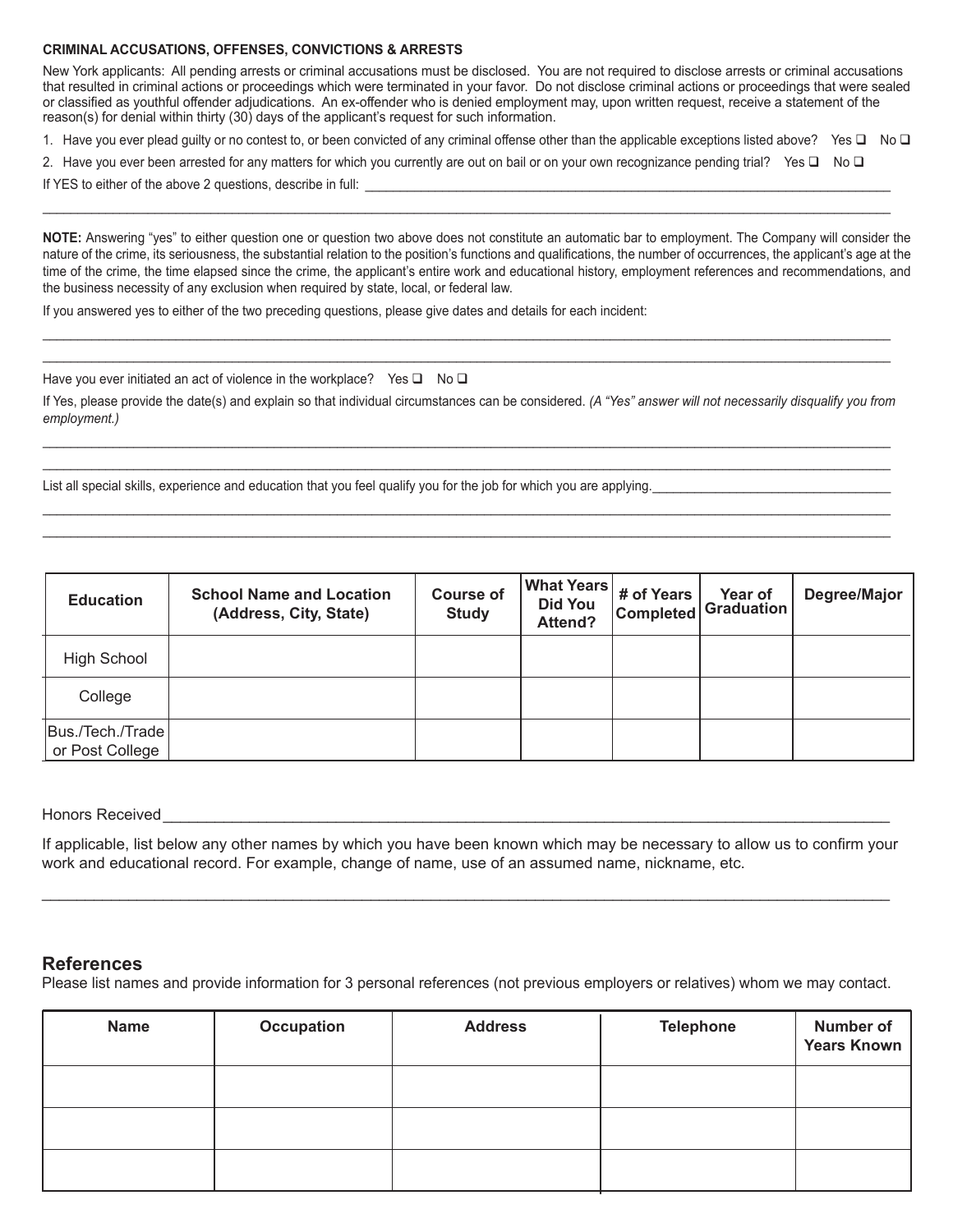#### **CRIMINAL ACCUSATIONS, OFFENSES, CONVICTIONS & ARRESTS**

New York applicants: All pending arrests or criminal accusations must be disclosed. You are not required to disclose arrests or criminal accusations that resulted in criminal actions or proceedings which were terminated in your favor. Do not disclose criminal actions or proceedings that were sealed or classified as youthful offender adjudications. An ex-offender who is denied employment may, upon written request, receive a statement of the reason(s) for denial within thirty (30) days of the applicant's request for such information.

1. Have you ever plead guilty or no contest to, or been convicted of any criminal offense other than the applicable exceptions listed above? Yes  $\Box$  No  $\Box$ 

2. Have you ever been arrested for any matters for which you currently are out on bail or on your own recognizance pending trial? Yes  $\square$  No  $\square$ 

 $\_$  , and the state of the state of the state of the state of the state of the state of the state of the state of the state of the state of the state of the state of the state of the state of the state of the state of the

If YES to either of the above 2 questions, describe in full:

**NOTE:** Answering "yes" to either question one or question two above does not constitute an automatic bar to employment. The Company will consider the nature of the crime, its seriousness, the substantial relation to the position's functions and qualifications, the number of occurrences, the applicant's age at the time of the crime, the time elapsed since the crime, the applicant's entire work and educational history, employment references and recommendations, and the business necessity of any exclusion when required by state, local, or federal law.

If you answered yes to either of the two preceding questions, please give dates and details for each incident:

Have you ever initiated an act of violence in the workplace? Yes  $\Box$  No  $\Box$ 

If Yes, please provide the date(s) and explain so that individual circumstances can be considered. *(A "Yes" answer will not necessarily disqualify you from employment.)*

 $\_$  , and the state of the state of the state of the state of the state of the state of the state of the state of the state of the state of the state of the state of the state of the state of the state of the state of the  $\_$  , and the state of the state of the state of the state of the state of the state of the state of the state of the state of the state of the state of the state of the state of the state of the state of the state of the

 $\_$  , and the state of the state of the state of the state of the state of the state of the state of the state of the state of the state of the state of the state of the state of the state of the state of the state of the  $\_$  , and the state of the state of the state of the state of the state of the state of the state of the state of the state of the state of the state of the state of the state of the state of the state of the state of the

 $\_$  , and the state of the state of the state of the state of the state of the state of the state of the state of the state of the state of the state of the state of the state of the state of the state of the state of the  $\_$  , and the state of the state of the state of the state of the state of the state of the state of the state of the state of the state of the state of the state of the state of the state of the state of the state of the

List all special skills, experience and education that you feel qualify you for the job for which you are applying.

| <b>Education</b>                    | <b>School Name and Location</b><br>(Address, City, State) | <b>Course of</b><br><b>Study</b> | <b>What Years</b><br><b>Did You</b><br>Attend? | # of Years<br>Completed | Year of<br><b>Graduation</b> | Degree/Major |
|-------------------------------------|-----------------------------------------------------------|----------------------------------|------------------------------------------------|-------------------------|------------------------------|--------------|
| <b>High School</b>                  |                                                           |                                  |                                                |                         |                              |              |
| College                             |                                                           |                                  |                                                |                         |                              |              |
| Bus./Tech./Trade<br>or Post College |                                                           |                                  |                                                |                         |                              |              |

Honors Received

If applicable, list below any other names by which you have been known which may be necessary to allow us to confirm your work and educational record. For example, change of name, use of an assumed name, nickname, etc.

\_\_\_\_\_\_\_\_\_\_\_\_\_\_\_\_\_\_\_\_\_\_\_\_\_\_\_\_\_\_\_\_\_\_\_\_\_\_\_\_\_\_\_\_\_\_\_\_\_\_\_\_\_\_\_\_\_\_\_\_\_\_\_\_\_\_\_\_\_\_\_\_\_\_\_\_\_\_\_\_\_\_\_\_\_\_\_\_\_\_\_\_\_\_\_\_\_\_

### **References**

Please list names and provide information for 3 personal references (not previous employers or relatives) whom we may contact.

| <b>Name</b> | Occupation | <b>Address</b> | <b>Telephone</b> | <b>Number of</b><br><b>Years Known</b> |
|-------------|------------|----------------|------------------|----------------------------------------|
|             |            |                |                  |                                        |
|             |            |                |                  |                                        |
|             |            |                |                  |                                        |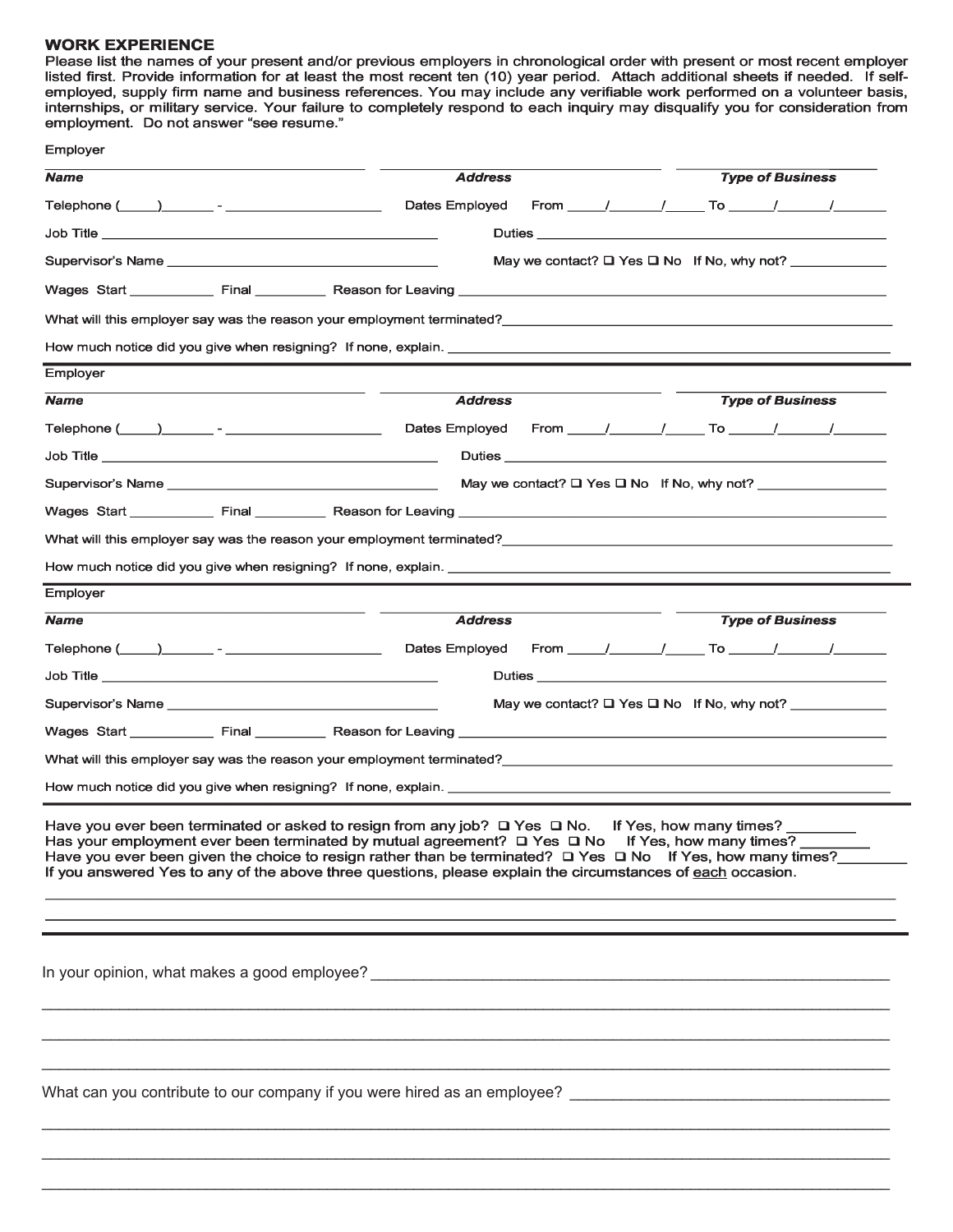#### **WORK EXPERIENCE**

Please list the names of your present and/or previous employers in chronological order with present or most recent employer listed first. Provide information for at least the most recent ten (10) year period. Attach additional sheets if needed. If self-<br>employed, supply firm name and business references. You may include any verifiable work perf internships, or military service. Your failure to completely respond to each inquiry may disqualify you for consideration from<br>employment. Do not answer "see resume."

| <b>Name</b><br>Telephone ( and ) and the contract of the contract of the contract of the contract of the contract of the contract of the contract of the contract of the contract of the contract of the contract of the contract of the cont<br>Wages Start ____________ Final __________ Reason for Leaving ___________________<br>What will this employer say was the reason your employment terminated? Next and the state of the state of the state of the state of the state of the state of the state of the state of the state of the state of the state of<br>Employer<br><b>Name</b> | <b>Address</b><br>Dates Employed<br><b>Address</b><br>Dates Employed | From <u>/ / To / To / /</u><br>May we contact? $\Box$ Yes $\Box$ No If No, why not? |                         | <b>Type of Business</b> |  |
|------------------------------------------------------------------------------------------------------------------------------------------------------------------------------------------------------------------------------------------------------------------------------------------------------------------------------------------------------------------------------------------------------------------------------------------------------------------------------------------------------------------------------------------------------------------------------------------------|----------------------------------------------------------------------|-------------------------------------------------------------------------------------|-------------------------|-------------------------|--|
|                                                                                                                                                                                                                                                                                                                                                                                                                                                                                                                                                                                                |                                                                      |                                                                                     |                         |                         |  |
|                                                                                                                                                                                                                                                                                                                                                                                                                                                                                                                                                                                                |                                                                      |                                                                                     |                         |                         |  |
|                                                                                                                                                                                                                                                                                                                                                                                                                                                                                                                                                                                                |                                                                      |                                                                                     |                         |                         |  |
|                                                                                                                                                                                                                                                                                                                                                                                                                                                                                                                                                                                                |                                                                      |                                                                                     |                         |                         |  |
|                                                                                                                                                                                                                                                                                                                                                                                                                                                                                                                                                                                                |                                                                      |                                                                                     |                         |                         |  |
|                                                                                                                                                                                                                                                                                                                                                                                                                                                                                                                                                                                                |                                                                      |                                                                                     |                         |                         |  |
|                                                                                                                                                                                                                                                                                                                                                                                                                                                                                                                                                                                                |                                                                      |                                                                                     |                         |                         |  |
|                                                                                                                                                                                                                                                                                                                                                                                                                                                                                                                                                                                                |                                                                      |                                                                                     |                         |                         |  |
|                                                                                                                                                                                                                                                                                                                                                                                                                                                                                                                                                                                                |                                                                      |                                                                                     |                         | <b>Type of Business</b> |  |
|                                                                                                                                                                                                                                                                                                                                                                                                                                                                                                                                                                                                |                                                                      | From <u>/ / To / To / /</u>                                                         |                         |                         |  |
|                                                                                                                                                                                                                                                                                                                                                                                                                                                                                                                                                                                                |                                                                      |                                                                                     |                         |                         |  |
|                                                                                                                                                                                                                                                                                                                                                                                                                                                                                                                                                                                                |                                                                      | May we contact? $\square$ Yes $\square$ No If No, why not?                          |                         |                         |  |
|                                                                                                                                                                                                                                                                                                                                                                                                                                                                                                                                                                                                |                                                                      |                                                                                     |                         |                         |  |
| What will this employer say was the reason your employment terminated?                                                                                                                                                                                                                                                                                                                                                                                                                                                                                                                         |                                                                      |                                                                                     |                         |                         |  |
| How much notice did you give when resigning? If none, explain. <u>The manuscription of the set of the set of the set of the set of the set of the set of the set of the set of the set of the set of the set of the set of the s</u>                                                                                                                                                                                                                                                                                                                                                           |                                                                      |                                                                                     |                         |                         |  |
| Employer                                                                                                                                                                                                                                                                                                                                                                                                                                                                                                                                                                                       |                                                                      |                                                                                     |                         |                         |  |
| <b>Name</b>                                                                                                                                                                                                                                                                                                                                                                                                                                                                                                                                                                                    | <b>Address</b>                                                       |                                                                                     |                         | <b>Type of Business</b> |  |
|                                                                                                                                                                                                                                                                                                                                                                                                                                                                                                                                                                                                | Dates Employed From / / To / / /                                     |                                                                                     |                         |                         |  |
|                                                                                                                                                                                                                                                                                                                                                                                                                                                                                                                                                                                                |                                                                      |                                                                                     |                         |                         |  |
|                                                                                                                                                                                                                                                                                                                                                                                                                                                                                                                                                                                                |                                                                      | May we contact? $\Box$ Yes $\Box$ No If No, why not?                                |                         |                         |  |
|                                                                                                                                                                                                                                                                                                                                                                                                                                                                                                                                                                                                |                                                                      |                                                                                     |                         |                         |  |
| What will this employer say was the reason your employment terminated?                                                                                                                                                                                                                                                                                                                                                                                                                                                                                                                         |                                                                      |                                                                                     |                         |                         |  |
|                                                                                                                                                                                                                                                                                                                                                                                                                                                                                                                                                                                                |                                                                      |                                                                                     |                         |                         |  |
| Have you ever been terminated or asked to resign from any job? $\Box$ Yes $\Box$ No.<br>Has your employment ever been terminated by mutual agreement? $\Box$ Yes $\Box$ No If Yes, how many times?<br>Have you ever been given the choice to resign rather than be terminated? $\Box$ Yes $\Box$ No If Yes, how many times?<br>If you answered Yes to any of the above three questions, please explain the circumstances of each occasion.                                                                                                                                                     |                                                                      |                                                                                     | If Yes, how many times? |                         |  |
|                                                                                                                                                                                                                                                                                                                                                                                                                                                                                                                                                                                                |                                                                      |                                                                                     |                         |                         |  |
|                                                                                                                                                                                                                                                                                                                                                                                                                                                                                                                                                                                                |                                                                      |                                                                                     |                         |                         |  |